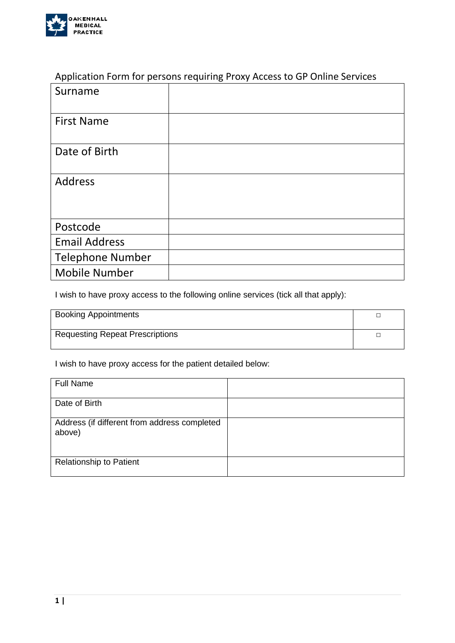

### Application Form for persons requiring Proxy Access to GP Online Services

| Surname                 |  |
|-------------------------|--|
|                         |  |
| <b>First Name</b>       |  |
| Date of Birth           |  |
|                         |  |
| <b>Address</b>          |  |
|                         |  |
|                         |  |
| Postcode                |  |
| <b>Email Address</b>    |  |
| <b>Telephone Number</b> |  |
| <b>Mobile Number</b>    |  |

I wish to have proxy access to the following online services (tick all that apply):

| <b>Booking Appointments</b>            |  |
|----------------------------------------|--|
| <b>Requesting Repeat Prescriptions</b> |  |

I wish to have proxy access for the patient detailed below:

| <b>Full Name</b>                                       |  |
|--------------------------------------------------------|--|
| Date of Birth                                          |  |
| Address (if different from address completed<br>above) |  |
| <b>Relationship to Patient</b>                         |  |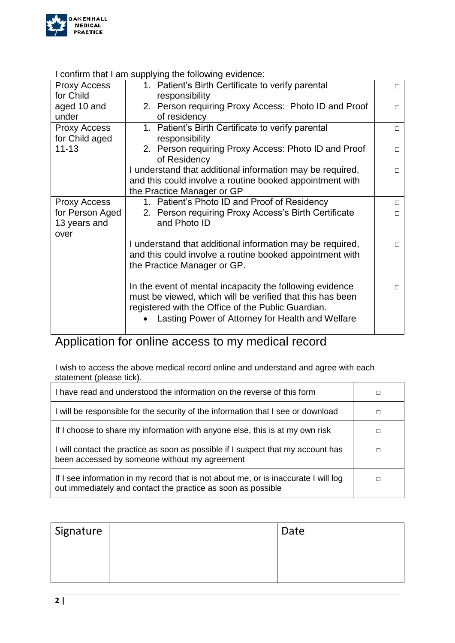

#### I confirm that I am supplying the following evidence:

| <b>Proxy Access</b> | 1. Patient's Birth Certificate to verify parental         | П      |
|---------------------|-----------------------------------------------------------|--------|
| for Child           | responsibility                                            |        |
| aged 10 and         | 2. Person requiring Proxy Access: Photo ID and Proof      | п      |
| under               | of residency                                              |        |
| Proxy Access        | 1. Patient's Birth Certificate to verify parental         | $\Box$ |
| for Child aged      | responsibility                                            |        |
| $11 - 13$           | 2. Person requiring Proxy Access: Photo ID and Proof      | □      |
|                     | of Residency                                              |        |
|                     | I understand that additional information may be required, | П      |
|                     | and this could involve a routine booked appointment with  |        |
|                     | the Practice Manager or GP                                |        |
| <b>Proxy Access</b> | 1. Patient's Photo ID and Proof of Residency              | $\Box$ |
| for Person Aged     | 2. Person requiring Proxy Access's Birth Certificate      | □      |
| 13 years and        | and Photo ID                                              |        |
| over                |                                                           |        |
|                     | I understand that additional information may be required, | $\Box$ |
|                     | and this could involve a routine booked appointment with  |        |
|                     | the Practice Manager or GP.                               |        |
|                     |                                                           |        |
|                     | In the event of mental incapacity the following evidence  | $\Box$ |
|                     | must be viewed, which will be verified that this has been |        |
|                     | registered with the Office of the Public Guardian.        |        |
|                     | Lasting Power of Attorney for Health and Welfare          |        |
|                     |                                                           |        |
|                     |                                                           |        |

# Application for online access to my medical record

I wish to access the above medical record online and understand and agree with each statement (please tick).

| I have read and understood the information on the reverse of this form                                                                              |  |
|-----------------------------------------------------------------------------------------------------------------------------------------------------|--|
| I will be responsible for the security of the information that I see or download                                                                    |  |
| If I choose to share my information with anyone else, this is at my own risk                                                                        |  |
| I will contact the practice as soon as possible if I suspect that my account has<br>been accessed by someone without my agreement                   |  |
| If I see information in my record that is not about me, or is inaccurate I will log<br>out immediately and contact the practice as soon as possible |  |

| Signature | Date |  |
|-----------|------|--|
|           |      |  |
|           |      |  |
|           |      |  |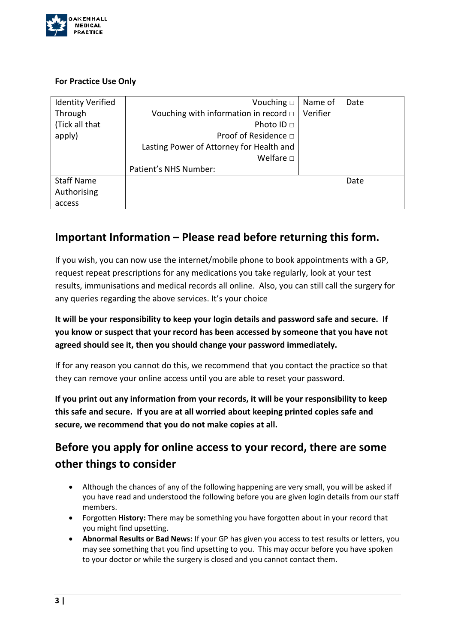

#### **For Practice Use Only**

| <b>Identity Verified</b> | Vouching $\Box$                            | Name of  | Date |
|--------------------------|--------------------------------------------|----------|------|
| Through                  | Vouching with information in record $\Box$ | Verifier |      |
| (Tick all that           | Photo ID □                                 |          |      |
| apply)                   | Proof of Residence □                       |          |      |
|                          | Lasting Power of Attorney for Health and   |          |      |
|                          | Welfare $\Box$                             |          |      |
|                          | Patient's NHS Number:                      |          |      |
| <b>Staff Name</b>        |                                            |          | Date |
| Authorising              |                                            |          |      |
| access                   |                                            |          |      |

### **Important Information – Please read before returning this form.**

If you wish, you can now use the internet/mobile phone to book appointments with a GP, request repeat prescriptions for any medications you take regularly, look at your test results, immunisations and medical records all online. Also, you can still call the surgery for any queries regarding the above services. It's your choice

**It will be your responsibility to keep your login details and password safe and secure. If you know or suspect that your record has been accessed by someone that you have not agreed should see it, then you should change your password immediately.**

If for any reason you cannot do this, we recommend that you contact the practice so that they can remove your online access until you are able to reset your password.

**If you print out any information from your records, it will be your responsibility to keep this safe and secure. If you are at all worried about keeping printed copies safe and secure, we recommend that you do not make copies at all.**

## **Before you apply for online access to your record, there are some other things to consider**

- Although the chances of any of the following happening are very small, you will be asked if you have read and understood the following before you are given login details from our staff members.
- Forgotten **History:** There may be something you have forgotten about in your record that you might find upsetting.
- **Abnormal Results or Bad News:** If your GP has given you access to test results or letters, you may see something that you find upsetting to you. This may occur before you have spoken to your doctor or while the surgery is closed and you cannot contact them.